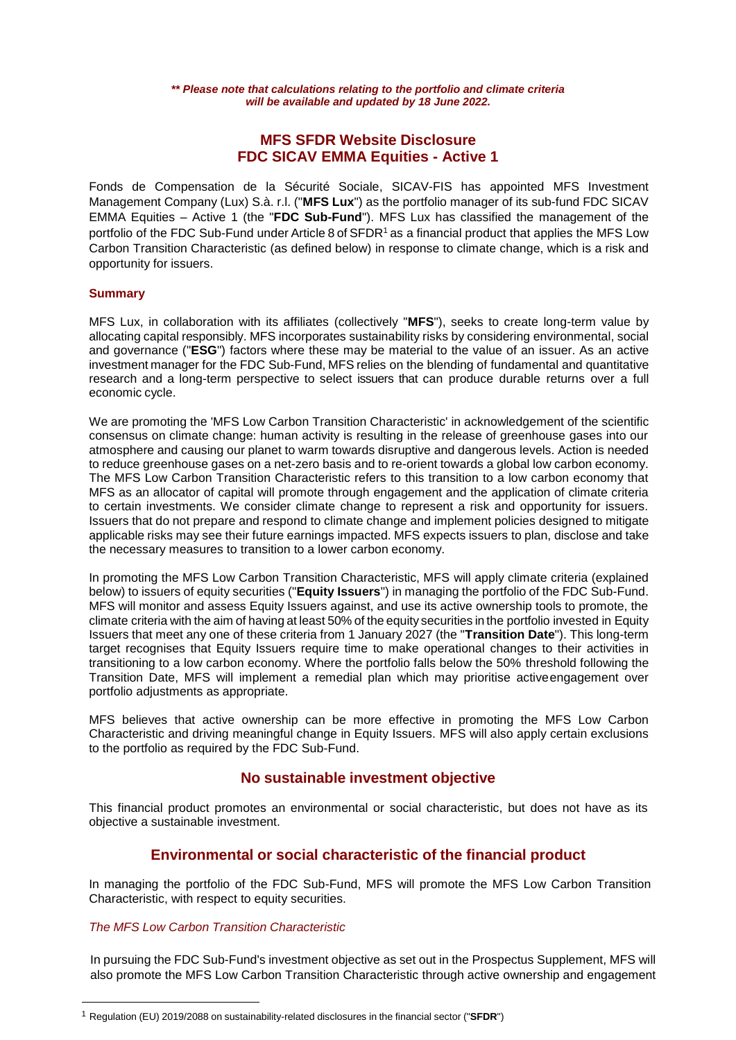# **MFS SFDR Website Disclosure FDC SICAV EMMA Equities - Active 1**

Fonds de Compensation de la Sécurité Sociale, SICAV-FIS has appointed MFS Investment Management Company (Lux) S.à. r.l. ("**MFS Lux**") as the portfolio manager of its sub-fund FDC SICAV EMMA Equities – Active 1 (the "**FDC Sub-Fund**"). MFS Lux has classified the management of the portfolio of the FDC Sub-Fund under Article 8 of SFDR<sup>1</sup> as a financial product that applies the MFS Low Carbon Transition Characteristic (as defined below) in response to climate change, which is a risk and opportunity for issuers.

## **Summary**

MFS Lux, in collaboration with its affiliates (collectively "**MFS**"), seeks to create long-term value by allocating capital responsibly. MFS incorporates sustainability risks by considering environmental, social and governance ("**ESG**") factors where these may be material to the value of an issuer. As an active investment manager for the FDC Sub-Fund, MFS relies on the blending of fundamental and quantitative research and a long-term perspective to select issuers that can produce durable returns over a full economic cycle.

We are promoting the 'MFS Low Carbon Transition Characteristic' in acknowledgement of the scientific consensus on climate change: human activity is resulting in the release of greenhouse gases into our atmosphere and causing our planet to warm towards disruptive and dangerous levels. Action is needed to reduce greenhouse gases on a net-zero basis and to re-orient towards a global low carbon economy. The MFS Low Carbon Transition Characteristic refers to this transition to a low carbon economy that MFS as an allocator of capital will promote through engagement and the application of climate criteria to certain investments. We consider climate change to represent a risk and opportunity for issuers. Issuers that do not prepare and respond to climate change and implement policies designed to mitigate applicable risks may see their future earnings impacted. MFS expects issuers to plan, disclose and take the necessary measures to transition to a lower carbon economy.

In promoting the MFS Low Carbon Transition Characteristic, MFS will apply climate criteria (explained below) to issuers of equity securities ("**Equity Issuers**") in managing the portfolio of the FDC Sub-Fund. MFS will monitor and assess Equity Issuers against, and use its active ownership tools to promote, the climate criteria with the aim of having at least 50% of the equity securities in the portfolio invested in Equity Issuers that meet any one of these criteria from 1 January 2027 (the "**Transition Date**"). This long-term target recognises that Equity Issuers require time to make operational changes to their activities in transitioning to a low carbon economy. Where the portfolio falls below the 50% threshold following the Transition Date, MFS will implement a remedial plan which may prioritise activeengagement over portfolio adjustments as appropriate.

MFS believes that active ownership can be more effective in promoting the MFS Low Carbon Characteristic and driving meaningful change in Equity Issuers. MFS will also apply certain exclusions to the portfolio as required by the FDC Sub-Fund.

# **No sustainable investment objective**

This financial product promotes an environmental or social characteristic, but does not have as its objective a sustainable investment.

# **Environmental or social characteristic of the financial product**

In managing the portfolio of the FDC Sub-Fund, MFS will promote the MFS Low Carbon Transition Characteristic, with respect to equity securities.

## *The MFS Low Carbon Transition Characteristic*

 $\overline{a}$ 

In pursuing the FDC Sub-Fund's investment objective as set out in the Prospectus Supplement, MFS will also promote the MFS Low Carbon Transition Characteristic through active ownership and engagement

<sup>1</sup> Regulation (EU) 2019/2088 on sustainability-related disclosures in the financial sector ("**SFDR**")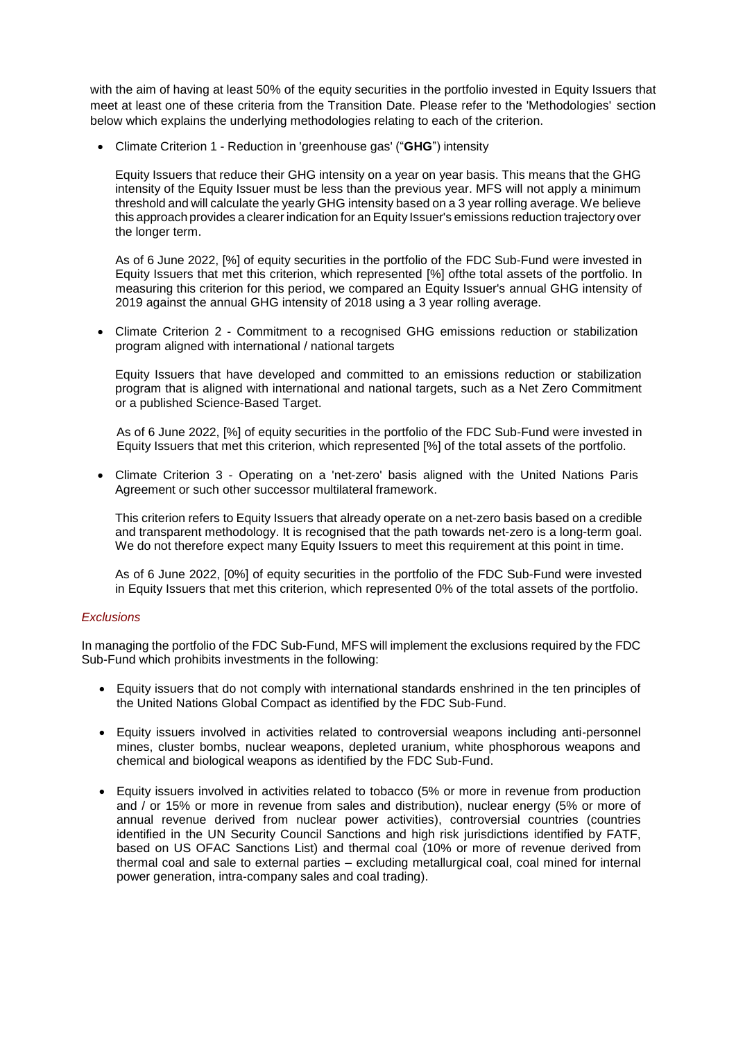with the aim of having at least 50% of the equity securities in the portfolio invested in Equity Issuers that meet at least one of these criteria from the Transition Date. Please refer to the 'Methodologies' section below which explains the underlying methodologies relating to each of the criterion.

Climate Criterion 1 - Reduction in 'greenhouse gas' ("**GHG**") intensity

Equity Issuers that reduce their GHG intensity on a year on year basis. This means that the GHG intensity of the Equity Issuer must be less than the previous year. MFS will not apply a minimum threshold and will calculate the yearly GHG intensity based on a 3 year rolling average. We believe this approach provides a clearer indication for an Equity Issuer's emissions reduction trajectory over the longer term.

As of 6 June 2022, [%] of equity securities in the portfolio of the FDC Sub-Fund were invested in Equity Issuers that met this criterion, which represented [%] ofthe total assets of the portfolio. In measuring this criterion for this period, we compared an Equity Issuer's annual GHG intensity of 2019 against the annual GHG intensity of 2018 using a 3 year rolling average.

 Climate Criterion 2 - Commitment to a recognised GHG emissions reduction or stabilization program aligned with international / national targets

Equity Issuers that have developed and committed to an emissions reduction or stabilization program that is aligned with international and national targets, such as a Net Zero Commitment or a published Science-Based Target.

As of 6 June 2022, [%] of equity securities in the portfolio of the FDC Sub-Fund were invested in Equity Issuers that met this criterion, which represented [%] of the total assets of the portfolio.

 Climate Criterion 3 - Operating on a 'net-zero' basis aligned with the United Nations Paris Agreement or such other successor multilateral framework.

This criterion refers to Equity Issuers that already operate on a net-zero basis based on a credible and transparent methodology. It is recognised that the path towards net-zero is a long-term goal. We do not therefore expect many Equity Issuers to meet this requirement at this point in time.

As of 6 June 2022, [0%] of equity securities in the portfolio of the FDC Sub-Fund were invested in Equity Issuers that met this criterion, which represented 0% of the total assets of the portfolio.

### *Exclusions*

In managing the portfolio of the FDC Sub-Fund, MFS will implement the exclusions required by the FDC Sub-Fund which prohibits investments in the following:

- Equity issuers that do not comply with international standards enshrined in the ten principles of the United Nations Global Compact as identified by the FDC Sub-Fund.
- Equity issuers involved in activities related to controversial weapons including anti-personnel mines, cluster bombs, nuclear weapons, depleted uranium, white phosphorous weapons and chemical and biological weapons as identified by the FDC Sub-Fund.
- Equity issuers involved in activities related to tobacco (5% or more in revenue from production and / or 15% or more in revenue from sales and distribution), nuclear energy (5% or more of annual revenue derived from nuclear power activities), controversial countries (countries identified in the UN Security Council Sanctions and high risk jurisdictions identified by FATF, based on US OFAC Sanctions List) and thermal coal (10% or more of revenue derived from thermal coal and sale to external parties – excluding metallurgical coal, coal mined for internal power generation, intra-company sales and coal trading).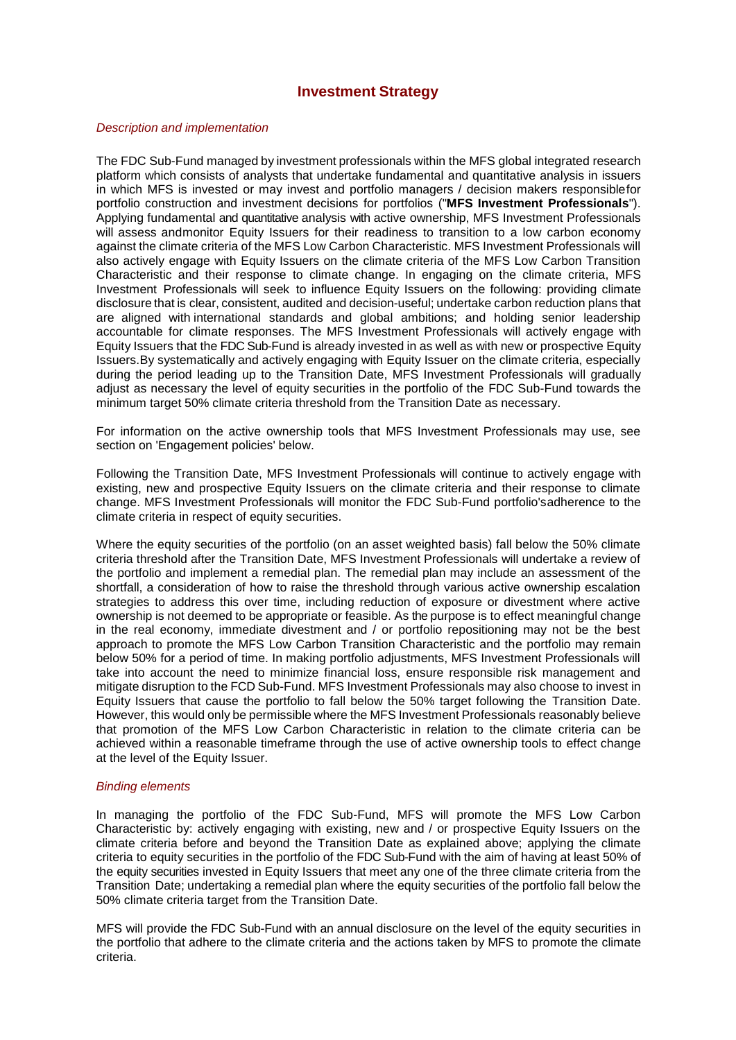# **Investment Strategy**

### *Description and implementation*

The FDC Sub-Fund managed by investment professionals within the MFS global integrated research platform which consists of analysts that undertake fundamental and quantitative analysis in issuers in which MFS is invested or may invest and portfolio managers / decision makers responsiblefor portfolio construction and investment decisions for portfolios ("**MFS Investment Professionals**"). Applying fundamental and quantitative analysis with active ownership, MFS Investment Professionals will assess andmonitor Equity Issuers for their readiness to transition to a low carbon economy against the climate criteria of the MFS Low Carbon Characteristic. MFS Investment Professionals will also actively engage with Equity Issuers on the climate criteria of the MFS Low Carbon Transition Characteristic and their response to climate change. In engaging on the climate criteria, MFS Investment Professionals will seek to influence Equity Issuers on the following: providing climate disclosure that is clear, consistent, audited and decision-useful; undertake carbon reduction plans that are aligned with international standards and global ambitions; and holding senior leadership accountable for climate responses. The MFS Investment Professionals will actively engage with Equity Issuers that the FDC Sub-Fund is already invested in as well as with new or prospective Equity Issuers.By systematically and actively engaging with Equity Issuer on the climate criteria, especially during the period leading up to the Transition Date, MFS Investment Professionals will gradually adjust as necessary the level of equity securities in the portfolio of the FDC Sub-Fund towards the minimum target 50% climate criteria threshold from the Transition Date as necessary.

For information on the active ownership tools that MFS Investment Professionals may use, see section on 'Engagement policies' below.

Following the Transition Date, MFS Investment Professionals will continue to actively engage with existing, new and prospective Equity Issuers on the climate criteria and their response to climate change. MFS Investment Professionals will monitor the FDC Sub-Fund portfolio'sadherence to the climate criteria in respect of equity securities.

Where the equity securities of the portfolio (on an asset weighted basis) fall below the 50% climate criteria threshold after the Transition Date, MFS Investment Professionals will undertake a review of the portfolio and implement a remedial plan. The remedial plan may include an assessment of the shortfall, a consideration of how to raise the threshold through various active ownership escalation strategies to address this over time, including reduction of exposure or divestment where active ownership is not deemed to be appropriate or feasible. As the purpose is to effect meaningful change in the real economy, immediate divestment and / or portfolio repositioning may not be the best approach to promote the MFS Low Carbon Transition Characteristic and the portfolio may remain below 50% for a period of time. In making portfolio adjustments, MFS Investment Professionals will take into account the need to minimize financial loss, ensure responsible risk management and mitigate disruption to the FCD Sub-Fund. MFS Investment Professionals may also choose to invest in Equity Issuers that cause the portfolio to fall below the 50% target following the Transition Date. However, this would only be permissible where the MFS Investment Professionals reasonably believe that promotion of the MFS Low Carbon Characteristic in relation to the climate criteria can be achieved within a reasonable timeframe through the use of active ownership tools to effect change at the level of the Equity Issuer.

#### *Binding elements*

In managing the portfolio of the FDC Sub-Fund, MFS will promote the MFS Low Carbon Characteristic by: actively engaging with existing, new and / or prospective Equity Issuers on the climate criteria before and beyond the Transition Date as explained above; applying the climate criteria to equity securities in the portfolio of the FDC Sub-Fund with the aim of having at least 50% of the equity securities invested in Equity Issuers that meet any one of the three climate criteria from the Transition Date; undertaking a remedial plan where the equity securities of the portfolio fall below the 50% climate criteria target from the Transition Date.

MFS will provide the FDC Sub-Fund with an annual disclosure on the level of the equity securities in the portfolio that adhere to the climate criteria and the actions taken by MFS to promote the climate criteria.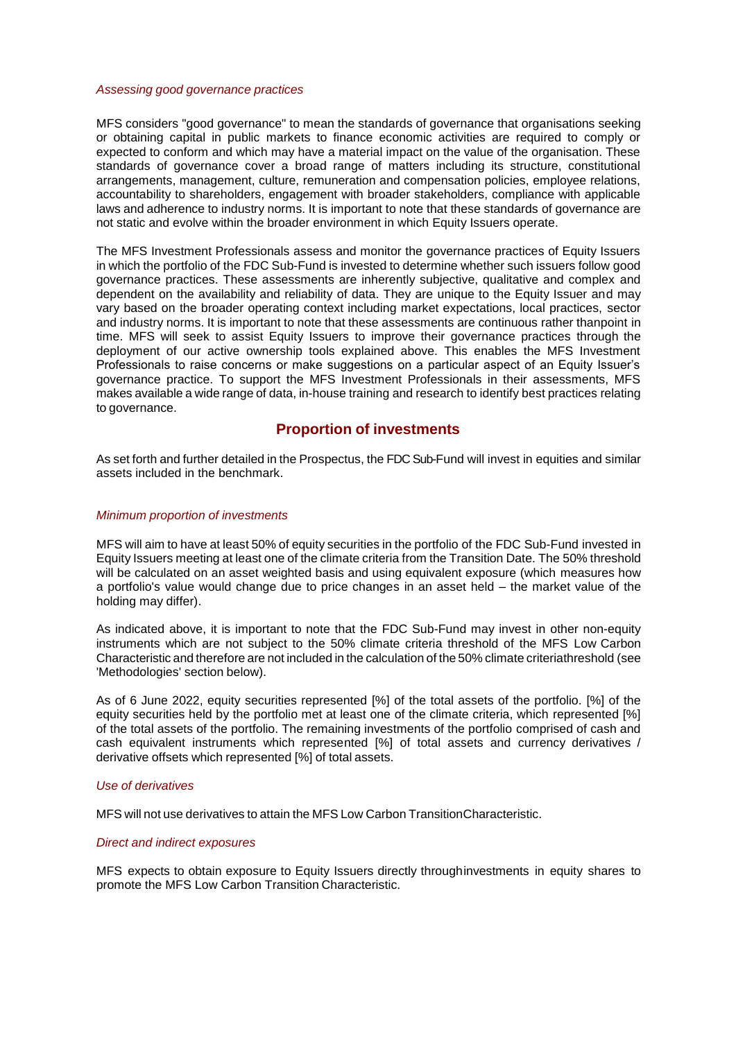#### *Assessing good governance practices*

MFS considers "good governance" to mean the standards of governance that organisations seeking or obtaining capital in public markets to finance economic activities are required to comply or expected to conform and which may have a material impact on the value of the organisation. These standards of governance cover a broad range of matters including its structure, constitutional arrangements, management, culture, remuneration and compensation policies, employee relations, accountability to shareholders, engagement with broader stakeholders, compliance with applicable laws and adherence to industry norms. It is important to note that these standards of governance are not static and evolve within the broader environment in which Equity Issuers operate.

The MFS Investment Professionals assess and monitor the governance practices of Equity Issuers in which the portfolio of the FDC Sub-Fund is invested to determine whether such issuers follow good governance practices. These assessments are inherently subjective, qualitative and complex and dependent on the availability and reliability of data. They are unique to the Equity Issuer and may vary based on the broader operating context including market expectations, local practices, sector and industry norms. It is important to note that these assessments are continuous rather thanpoint in time. MFS will seek to assist Equity Issuers to improve their governance practices through the deployment of our active ownership tools explained above. This enables the MFS Investment Professionals to raise concerns or make suggestions on a particular aspect of an Equity Issuer's governance practice. To support the MFS Investment Professionals in their assessments, MFS makes available a wide range of data, in-house training and research to identify best practices relating to governance.

## **Proportion of investments**

As set forth and further detailed in the Prospectus, the FDC Sub-Fund will invest in equities and similar assets included in the benchmark.

#### *Minimum proportion of investments*

MFS will aim to have at least 50% of equity securities in the portfolio of the FDC Sub-Fund invested in Equity Issuers meeting at least one of the climate criteria from the Transition Date. The 50% threshold will be calculated on an asset weighted basis and using equivalent exposure (which measures how a portfolio's value would change due to price changes in an asset held – the market value of the holding may differ).

As indicated above, it is important to note that the FDC Sub-Fund may invest in other non-equity instruments which are not subject to the 50% climate criteria threshold of the MFS Low Carbon Characteristic and therefore are not included in the calculation of the 50% climate criteriathreshold (see 'Methodologies' section below).

As of 6 June 2022, equity securities represented [%] of the total assets of the portfolio. [%] of the equity securities held by the portfolio met at least one of the climate criteria, which represented [%] of the total assets of the portfolio. The remaining investments of the portfolio comprised of cash and cash equivalent instruments which represented [%] of total assets and currency derivatives / derivative offsets which represented [%] of total assets.

#### *Use of derivatives*

MFS will not use derivatives to attain the MFS Low Carbon TransitionCharacteristic.

#### *Direct and indirect exposures*

MFS expects to obtain exposure to Equity Issuers directly throughinvestments in equity shares to promote the MFS Low Carbon Transition Characteristic.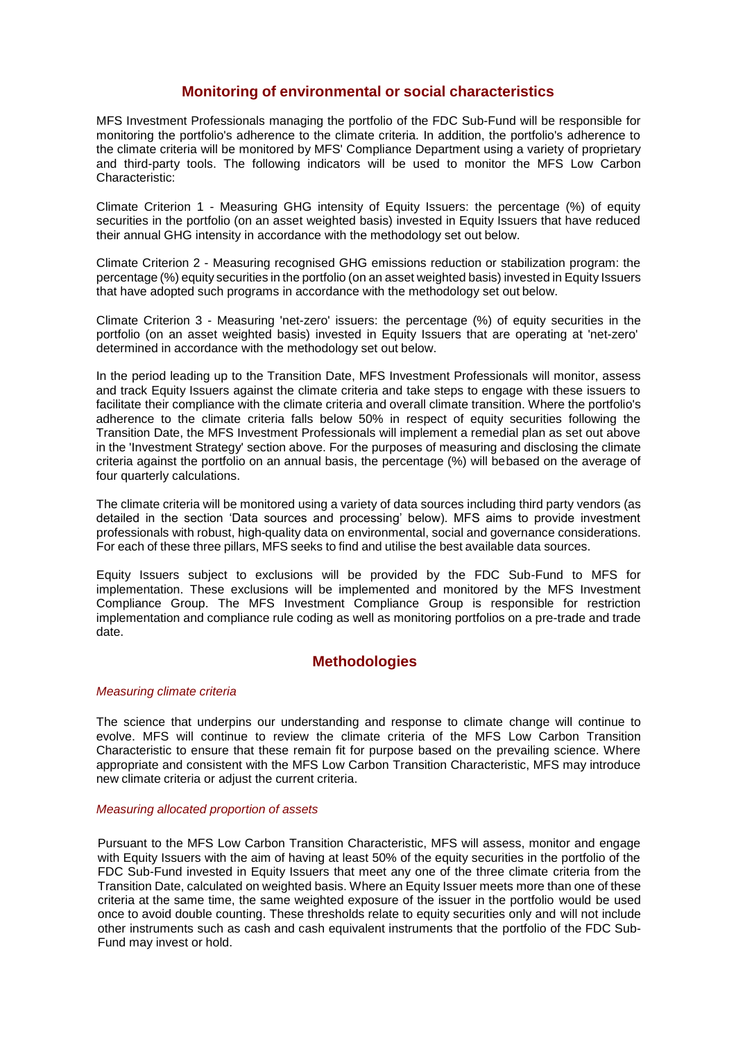# **Monitoring of environmental or social characteristics**

MFS Investment Professionals managing the portfolio of the FDC Sub-Fund will be responsible for monitoring the portfolio's adherence to the climate criteria. In addition, the portfolio's adherence to the climate criteria will be monitored by MFS' Compliance Department using a variety of proprietary and third-party tools. The following indicators will be used to monitor the MFS Low Carbon Characteristic:

Climate Criterion 1 - Measuring GHG intensity of Equity Issuers: the percentage (%) of equity securities in the portfolio (on an asset weighted basis) invested in Equity Issuers that have reduced their annual GHG intensity in accordance with the methodology set out below.

Climate Criterion 2 - Measuring recognised GHG emissions reduction or stabilization program: the percentage (%) equity securities in the portfolio (on an asset weighted basis) invested in Equity Issuers that have adopted such programs in accordance with the methodology set out below.

Climate Criterion 3 - Measuring 'net-zero' issuers: the percentage (%) of equity securities in the portfolio (on an asset weighted basis) invested in Equity Issuers that are operating at 'net-zero' determined in accordance with the methodology set out below.

In the period leading up to the Transition Date, MFS Investment Professionals will monitor, assess and track Equity Issuers against the climate criteria and take steps to engage with these issuers to facilitate their compliance with the climate criteria and overall climate transition. Where the portfolio's adherence to the climate criteria falls below 50% in respect of equity securities following the Transition Date, the MFS Investment Professionals will implement a remedial plan as set out above in the 'Investment Strategy' section above. For the purposes of measuring and disclosing the climate criteria against the portfolio on an annual basis, the percentage (%) will bebased on the average of four quarterly calculations.

The climate criteria will be monitored using a variety of data sources including third party vendors (as detailed in the section 'Data sources and processing' below). MFS aims to provide investment professionals with robust, high-quality data on environmental, social and governance considerations. For each of these three pillars, MFS seeks to find and utilise the best available data sources.

Equity Issuers subject to exclusions will be provided by the FDC Sub-Fund to MFS for implementation. These exclusions will be implemented and monitored by the MFS Investment Compliance Group. The MFS Investment Compliance Group is responsible for restriction implementation and compliance rule coding as well as monitoring portfolios on a pre-trade and trade date.

## **Methodologies**

### *Measuring climate criteria*

The science that underpins our understanding and response to climate change will continue to evolve. MFS will continue to review the climate criteria of the MFS Low Carbon Transition Characteristic to ensure that these remain fit for purpose based on the prevailing science. Where appropriate and consistent with the MFS Low Carbon Transition Characteristic, MFS may introduce new climate criteria or adjust the current criteria.

### *Measuring allocated proportion of assets*

Pursuant to the MFS Low Carbon Transition Characteristic, MFS will assess, monitor and engage with Equity Issuers with the aim of having at least 50% of the equity securities in the portfolio of the FDC Sub-Fund invested in Equity Issuers that meet any one of the three climate criteria from the Transition Date, calculated on weighted basis. Where an Equity Issuer meets more than one of these criteria at the same time, the same weighted exposure of the issuer in the portfolio would be used once to avoid double counting. These thresholds relate to equity securities only and will not include other instruments such as cash and cash equivalent instruments that the portfolio of the FDC Sub-Fund may invest or hold.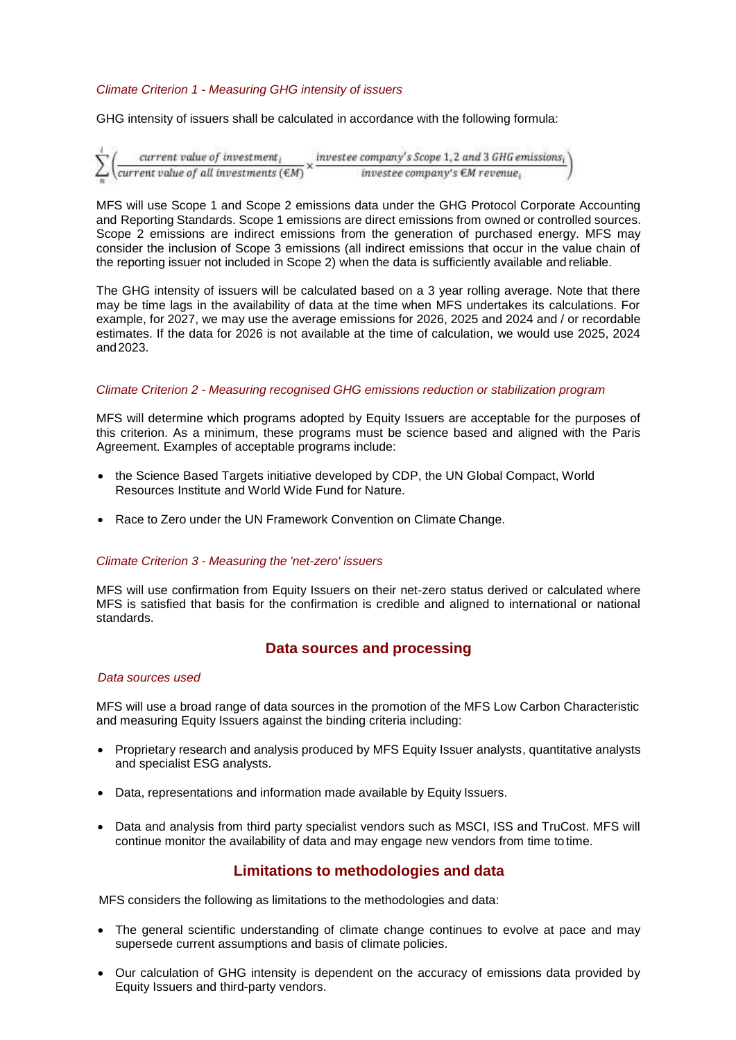### *Climate Criterion 1 - Measuring GHG intensity of issuers*

GHG intensity of issuers shall be calculated in accordance with the following formula:

```
\left(\frac{\text{current value of investment}_l}{\text{current value of all investments}(\text{\textsterling}M)}\times\frac{\text{investee company's Score 1, 2 and 3 GHz emissions}_l}{\text{investee company's EM revenue}_l}\right)
```
MFS will use Scope 1 and Scope 2 emissions data under the GHG Protocol Corporate Accounting and Reporting Standards. Scope 1 emissions are direct emissions from owned or controlled sources. Scope 2 emissions are indirect emissions from the generation of purchased energy. MFS may consider the inclusion of Scope 3 emissions (all indirect emissions that occur in the value chain of the reporting issuer not included in Scope 2) when the data is sufficiently available and reliable.

The GHG intensity of issuers will be calculated based on a 3 year rolling average. Note that there may be time lags in the availability of data at the time when MFS undertakes its calculations. For example, for 2027, we may use the average emissions for 2026, 2025 and 2024 and / or recordable estimates. If the data for 2026 is not available at the time of calculation, we would use 2025, 2024 and2023.

#### *Climate Criterion 2 - Measuring recognised GHG emissions reduction or stabilization program*

MFS will determine which programs adopted by Equity Issuers are acceptable for the purposes of this criterion. As a minimum, these programs must be science based and aligned with the Paris Agreement. Examples of acceptable programs include:

- the Science Based Targets initiative developed by CDP, the UN Global Compact, World Resources Institute and World Wide Fund for Nature.
- Race to Zero under the UN Framework Convention on Climate Change.

#### *Climate Criterion 3 - Measuring the 'net-zero' issuers*

MFS will use confirmation from Equity Issuers on their net-zero status derived or calculated where MFS is satisfied that basis for the confirmation is credible and aligned to international or national standards.

### **Data sources and processing**

#### *Data sources used*

MFS will use a broad range of data sources in the promotion of the MFS Low Carbon Characteristic and measuring Equity Issuers against the binding criteria including:

- Proprietary research and analysis produced by MFS Equity Issuer analysts, quantitative analysts and specialist ESG analysts.
- Data, representations and information made available by Equity Issuers.
- Data and analysis from third party specialist vendors such as MSCI, ISS and TruCost. MFS will continue monitor the availability of data and may engage new vendors from time to time.

## **Limitations to methodologies and data**

MFS considers the following as limitations to the methodologies and data:

- The general scientific understanding of climate change continues to evolve at pace and may supersede current assumptions and basis of climate policies.
- Our calculation of GHG intensity is dependent on the accuracy of emissions data provided by Equity Issuers and third-party vendors.